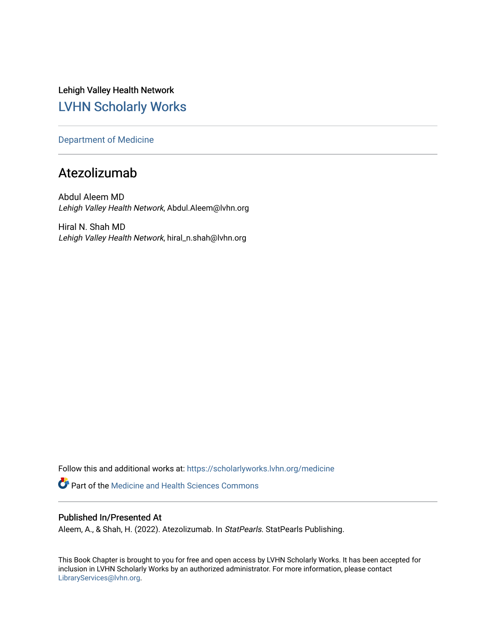Lehigh Valley Health Network [LVHN Scholarly Works](https://scholarlyworks.lvhn.org/)

[Department of Medicine](https://scholarlyworks.lvhn.org/medicine) 

# Atezolizumab

Abdul Aleem MD Lehigh Valley Health Network, Abdul.Aleem@lvhn.org

Hiral N. Shah MD Lehigh Valley Health Network, hiral\_n.shah@lvhn.org

Follow this and additional works at: [https://scholarlyworks.lvhn.org/medicine](https://scholarlyworks.lvhn.org/medicine?utm_source=scholarlyworks.lvhn.org%2Fmedicine%2F2027&utm_medium=PDF&utm_campaign=PDFCoverPages) 

**Part of the Medicine and Health Sciences Commons** 

# Published In/Presented At

Aleem, A., & Shah, H. (2022). Atezolizumab. In StatPearls. StatPearls Publishing.

This Book Chapter is brought to you for free and open access by LVHN Scholarly Works. It has been accepted for inclusion in LVHN Scholarly Works by an authorized administrator. For more information, please contact [LibraryServices@lvhn.org](mailto:LibraryServices@lvhn.org).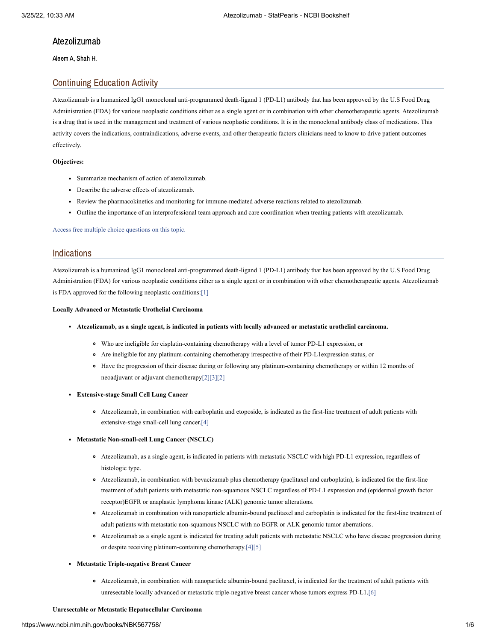# Atezolizumab

Aleem A, Shah H.

# Continuing Education Activity

Atezolizumab is a humanized IgG1 monoclonal anti-programmed death-ligand 1 (PD-L1) antibody that has been approved by the U.S Food Drug Administration (FDA) for various neoplastic conditions either as a single agent or in combination with other chemotherapeutic agents. Atezolizumab is a drug that is used in the management and treatment of various neoplastic conditions. It is in the monoclonal antibody class of medications. This activity covers the indications, contraindications, adverse events, and other therapeutic factors clinicians need to know to drive patient outcomes effectively.

# **Objectives:**

- Summarize mechanism of action of atezolizumab.
- Describe the adverse effects of atezolizumab.
- Review the pharmacokinetics and monitoring for immune-mediated adverse reactions related to atezolizumab.
- Outline the importance of an interprofessional team approach and care coordination when treating patients with atezolizumab.

Access free multiple choice [questions](https://www.statpearls.com/account/trialuserreg/?articleid=130748&utm_source=pubmed&utm_campaign=reviews&utm_content=130748) on this topic.

# **Indications**

Atezolizumab is a humanized IgG1 monoclonal anti-programmed death-ligand 1 (PD-L1) antibody that has been approved by the U.S Food Drug Administration (FDA) for various neoplastic conditions either as a single agent or in combination with other chemotherapeutic agents. Atezolizumab is FDA approved for the following neoplastic conditions[:\[1\]](#page-5-0)

### **Locally Advanced or Metastatic Urothelial Carcinoma**

- Atezolizumab, as a single agent, is indicated in patients with locally advanced or metastatic urothelial carcinoma.
	- Who are ineligible for cisplatin-containing chemotherapy with a level of tumor PD-L1 expression, or
	- Are ineligible for any platinum-containing chemotherapy irrespective of their PD-L1expression status, or
	- Have the progression of their disease during or following any platinum-containing chemotherapy or within 12 months of neoadjuvant or adjuvant chemotherapy[\[2\]](#page-5-1)[\[3\]](#page-5-2)[\[2\]](#page-5-1)

### **Extensive-stage Small Cell Lung Cancer**

Atezolizumab, in combination with carboplatin and etoposide, is indicated as the first-line treatment of adult patients with extensive-stage small-cell lung cancer.[\[4\]](#page-5-3)

### **Metastatic Non-small-cell Lung Cancer (NSCLC)**

- Atezolizumab, as a single agent, is indicated in patients with metastatic NSCLC with high PD-L1 expression, regardless of histologic type.
- Atezolizumab, in combination with bevacizumab plus chemotherapy (paclitaxel and carboplatin), is indicated for the first-line treatment of adult patients with metastatic non-squamous NSCLC regardless of PD-L1 expression and (epidermal growth factor receptor)EGFR or anaplastic lymphoma kinase (ALK) genomic tumor alterations.
- Atezolizumab in combination with nanoparticle albumin-bound paclitaxel and carboplatin is indicated for the first-line treatment of adult patients with metastatic non-squamous NSCLC with no EGFR or ALK genomic tumor aberrations.
- Atezolizumab as a single agent is indicated for treating adult patients with metastatic NSCLC who have disease progression during or despite receiving platinum-containing chemotherapy.[\[4\]](#page-5-3)[\[5\]](#page-5-4)

# **Metastatic Triple-negative Breast Cancer**

Atezolizumab, in combination with nanoparticle albumin-bound paclitaxel, is indicated for the treatment of adult patients with unresectable locally advanced or metastatic triple-negative breast cancer whose tumors express PD-L1.[\[6\]](#page-5-5)

# **Unresectable or Metastatic Hepatocellular Carcinoma**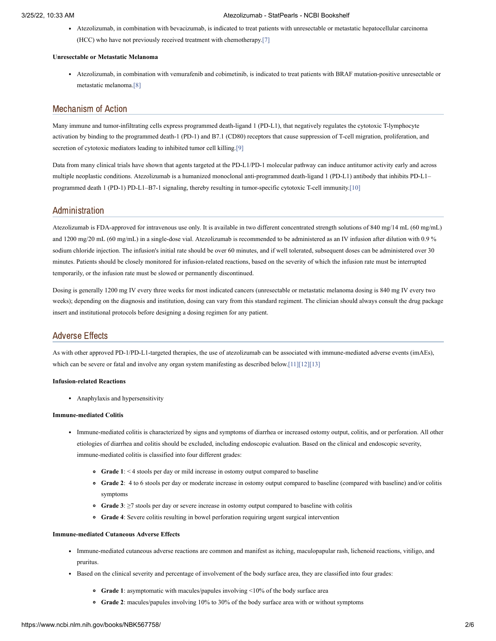Atezolizumab, in combination with bevacizumab, is indicated to treat patients with unresectable or metastatic hepatocellular carcinoma (HCC) who have not previously received treatment with chemotherapy.[\[7\]](#page-5-6)

# **Unresectable or Metastatic Melanoma**

Atezolizumab, in combination with vemurafenib and cobimetinib, is indicated to treat patients with BRAF mutation-positive unresectable or metastatic melanoma.[\[8\]](#page-5-7)

# Mechanism of Action

Many immune and tumor-infiltrating cells express programmed death-ligand 1 (PD-L1), that negatively regulates the cytotoxic T-lymphocyte activation by binding to the programmed death-1 (PD-1) and B7.1 (CD80) receptors that cause suppression of T-cell migration, proliferation, and secretion of cytotoxic mediators leading to inhibited tumor cell killing.[\[9\]](#page-6-0)

Data from many clinical trials have shown that agents targeted at the PD-L1/PD-1 molecular pathway can induce antitumor activity early and across multiple neoplastic conditions. Atezolizumab is a humanized monoclonal anti-programmed death-ligand 1 (PD-L1) antibody that inhibits PD-L1– programmed death 1 (PD-1) PD-L1–B7-1 signaling, thereby resulting in tumor-specific cytotoxic T-cell immunity.[\[10\]](#page-6-1)

# Administration

Atezolizumab is FDA-approved for intravenous use only. It is available in two different concentrated strength solutions of 840 mg/14 mL (60 mg/mL) and 1200 mg/20 mL (60 mg/mL) in a single-dose vial. Atezolizumab is recommended to be administered as an IV infusion after dilution with 0.9 % sodium chloride injection. The infusion's initial rate should be over 60 minutes, and if well tolerated, subsequent doses can be administered over 30 minutes. Patients should be closely monitored for infusion-related reactions, based on the severity of which the infusion rate must be interrupted temporarily, or the infusion rate must be slowed or permanently discontinued.

Dosing is generally 1200 mg IV every three weeks for most indicated cancers (unresectable or metastatic melanoma dosing is 840 mg IV every two weeks); depending on the diagnosis and institution, dosing can vary from this standard regiment. The clinician should always consult the drug package insert and institutional protocols before designing a dosing regimen for any patient.

# Adverse Effects

As with other approved PD-1/PD-L1-targeted therapies, the use of atezolizumab can be associated with immune-mediated adverse events (imAEs), which can be severe or fatal and involve any organ system manifesting as described below.[\[11\]](#page-6-2)[\[12\]](#page-6-3)[\[13\]](#page-6-4)

### **Infusion-related Reactions**

Anaphylaxis and hypersensitivity

# **Immune-mediated Colitis**

- Immune-mediated colitis is characterized by signs and symptoms of diarrhea or increased ostomy output, colitis, and or perforation. All other etiologies of diarrhea and colitis should be excluded, including endoscopic evaluation. Based on the clinical and endoscopic severity, immune-mediated colitis is classified into four different grades:
	- **Grade 1**: < 4 stools per day or mild increase in ostomy output compared to baseline
	- **Grade 2**: 4 to 6 stools per day or moderate increase in ostomy output compared to baseline (compared with baseline) and/or colitis symptoms
	- **Grade 3**: ≥7 stools per day or severe increase in ostomy output compared to baseline with colitis
	- **Grade 4**: Severe colitis resulting in bowel perforation requiring urgent surgical intervention

# **Immune-mediated Cutaneous Adverse Effects**

- Immune-mediated cutaneous adverse reactions are common and manifest as itching, maculopapular rash, lichenoid reactions, vitiligo, and pruritus.
- Based on the clinical severity and percentage of involvement of the body surface area, they are classified into four grades:
	- **Grade 1**: asymptomatic with macules/papules involving <10% of the body surface area
	- **Grade 2**: macules/papules involving 10% to 30% of the body surface area with or without symptoms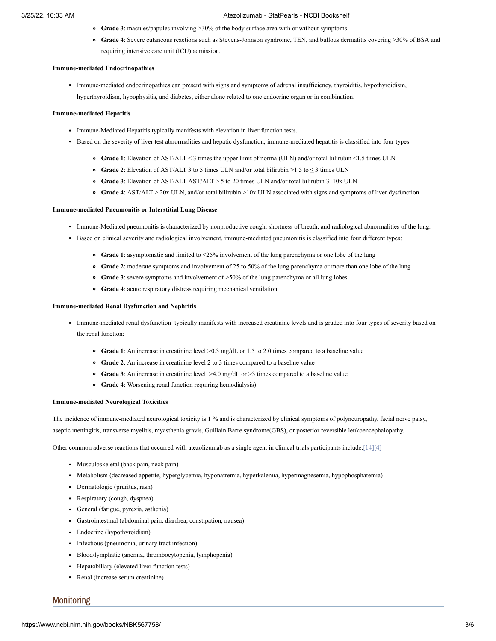- **Grade 3**: macules/papules involving >30% of the body surface area with or without symptoms
- **Grade 4**: Severe cutaneous reactions such as Stevens-Johnson syndrome, TEN, and bullous dermatitis covering >30% of BSA and requiring intensive care unit (ICU) admission.

#### **Immune-mediated Endocrinopathies**

Immune-mediated endocrinopathies can present with signs and symptoms of adrenal insufficiency, thyroiditis, hypothyroidism, hyperthyroidism, hypophysitis, and diabetes, either alone related to one endocrine organ or in combination.

### **Immune-mediated Hepatitis**

- Immune-Mediated Hepatitis typically manifests with elevation in liver function tests.
- Based on the severity of liver test abnormalities and hepatic dysfunction, immune-mediated hepatitis is classified into four types:
	- **Grade 1**: Elevation of AST/ALT < 3 times the upper limit of normal(ULN) and/or total bilirubin <1.5 times ULN
	- **Grade 2**: Elevation of AST/ALT 3 to 5 times ULN and/or total bilirubin >1.5 to ≤ 3 times ULN
	- **Grade 3**: Elevation of AST/ALT AST/ALT > 5 to 20 times ULN and/or total bilirubin 3–10x ULN
	- **Grade 4**: AST/ALT > 20x ULN, and/or total bilirubin >10x ULN associated with signs and symptoms of liver dysfunction.

### **Immune-mediated Pneumonitis or Interstitial Lung Disease**

- Immune-Mediated pneumonitis is characterized by nonproductive cough, shortness of breath, and radiological abnormalities of the lung.
- Based on clinical severity and radiological involvement, immune-mediated pneumonitis is classified into four different types:
	- **Grade 1**: asymptomatic and limited to <25% involvement of the lung parenchyma or one lobe of the lung
	- **Grade 2**: moderate symptoms and involvement of 25 to 50% of the lung parenchyma or more than one lobe of the lung
	- Grade 3: severe symptoms and involvement of >50% of the lung parenchyma or all lung lobes
	- **Grade 4**: acute respiratory distress requiring mechanical ventilation.

### **Immune-mediated Renal Dysfunction and Nephritis**

- Immune-mediated renal dysfunction typically manifests with increased creatinine levels and is graded into four types of severity based on the renal function:
	- **Grade 1**: An increase in creatinine level >0.3 mg/dL or 1.5 to 2.0 times compared to a baseline value
	- **Grade 2**: An increase in creatinine level 2 to 3 times compared to a baseline value
	- **Grade 3**: An increase in creatinine level >4.0 mg/dL or >3 times compared to a baseline value
	- **Grade 4**: Worsening renal function requiring hemodialysis)

### **Immune-mediated Neurological Toxicities**

The incidence of immune-mediated neurological toxicity is 1 % and is characterized by clinical symptoms of polyneuropathy, facial nerve palsy, aseptic meningitis, transverse myelitis, myasthenia gravis, Guillain Barre syndrome(GBS), or posterior reversible leukoencephalopathy.

Other common adverse reactions that occurred with atezolizumab as a single agent in clinical trials participants include[:\[14\]](#page-6-5)[\[4\]](#page-5-3)

- Musculoskeletal (back pain, neck pain)
- Metabolism (decreased appetite, hyperglycemia, hyponatremia, hyperkalemia, hypermagnesemia, hypophosphatemia)
- Dermatologic (pruritus, rash)
- Respiratory (cough, dyspnea)
- General (fatigue, pyrexia, asthenia)
- Gastrointestinal (abdominal pain, diarrhea, constipation, nausea)
- Endocrine (hypothyroidism)
- Infectious (pneumonia, urinary tract infection)
- Blood/lymphatic (anemia, thrombocytopenia, lymphopenia)
- Hepatobiliary (elevated liver function tests)
- Renal (increase serum creatinine)

# Monitoring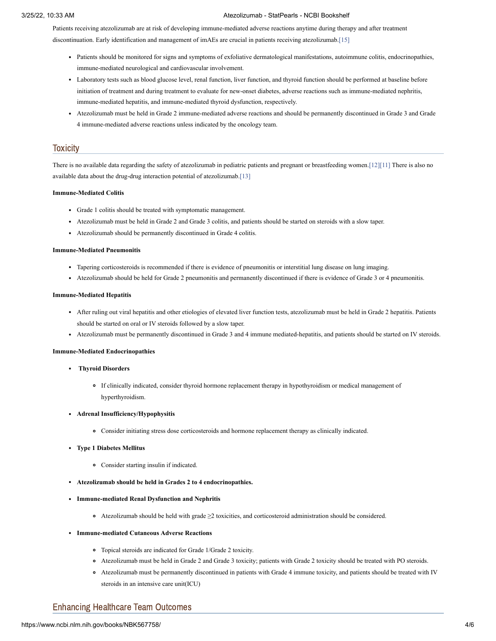Patients receiving atezolizumab are at risk of developing immune-mediated adverse reactions anytime during therapy and after treatment discontinuation. Early identification and management of imAEs are crucial in patients receiving atezolizumab[.\[15\]](#page-6-6)

- Patients should be monitored for signs and symptoms of exfoliative dermatological manifestations, autoimmune colitis, endocrinopathies, immune-mediated neurological and cardiovascular involvement.
- Laboratory tests such as blood glucose level, renal function, liver function, and thyroid function should be performed at baseline before initiation of treatment and during treatment to evaluate for new-onset diabetes, adverse reactions such as immune-mediated nephritis, immune-mediated hepatitis, and immune-mediated thyroid dysfunction, respectively.
- Atezolizumab must be held in Grade 2 immune-mediated adverse reactions and should be permanently discontinued in Grade 3 and Grade 4 immune-mediated adverse reactions unless indicated by the oncology team.

# **Toxicity**

There is no available data regarding the safety of atezolizumab in pediatric patients and pregnant or breastfeeding women.[\[12\]](#page-6-3)[\[11\]](#page-6-2) There is also no available data about the drug-drug interaction potential of atezolizumab[.\[13\]](#page-6-4)

#### **Immune-Mediated Colitis**

- Grade 1 colitis should be treated with symptomatic management.
- Atezolizumab must be held in Grade 2 and Grade 3 colitis, and patients should be started on steroids with a slow taper.
- Atezolizumab should be permanently discontinued in Grade 4 colitis.

### **Immune-Mediated Pneumonitis**

- Tapering corticosteroids is recommended if there is evidence of pneumonitis or interstitial lung disease on lung imaging.
- Atezolizumab should be held for Grade 2 pneumonitis and permanently discontinued if there is evidence of Grade 3 or 4 pneumonitis.

# **Immune-Mediated Hepatitis**

- After ruling out viral hepatitis and other etiologies of elevated liver function tests, atezolizumab must be held in Grade 2 hepatitis. Patients should be started on oral or IV steroids followed by a slow taper.
- Atezolizumab must be permanently discontinued in Grade 3 and 4 immune mediated-hepatitis, and patients should be started on IV steroids.

### **Immune-Mediated Endocrinopathies**

### **Thyroid Disorders**

- If clinically indicated, consider thyroid hormone replacement therapy in hypothyroidism or medical management of hyperthyroidism.
- **Adrenal Insufficiency/Hypophysitis**
	- Consider initiating stress dose corticosteroids and hormone replacement therapy as clinically indicated.

### **Type 1 Diabetes Mellitus**

- Consider starting insulin if indicated.
- **Atezolizumab should be held in Grades 2 to 4 endocrinopathies.**
- **Immune-mediated Renal Dysfunction and Nephritis**
	- Atezolizumab should be held with grade ≥2 toxicities, and corticosteroid administration should be considered.
- **Immune-mediated Cutaneous Adverse Reactions**
	- Topical steroids are indicated for Grade 1/Grade 2 toxicity.
	- Atezolizumab must be held in Grade 2 and Grade 3 toxicity; patients with Grade 2 toxicity should be treated with PO steroids.
	- Atezolizumab must be permanently discontinued in patients with Grade 4 immune toxicity, and patients should be treated with IV steroids in an intensive care unit(ICU)

# Enhancing Healthcare Team Outcomes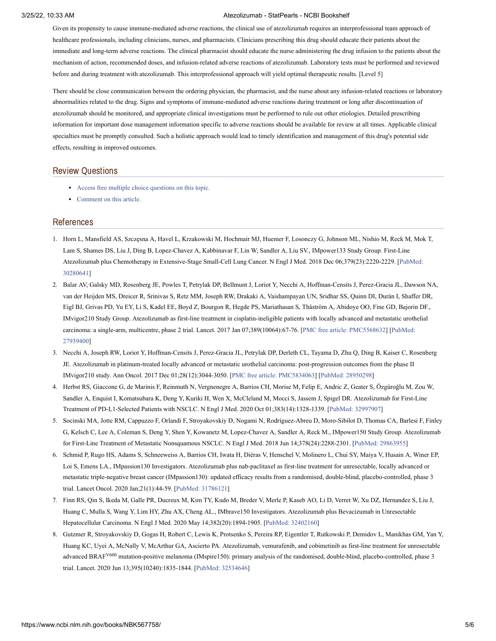Given its propensity to cause immune-mediated adverse reactions, the clinical use of atezolizumab requires an interprofessional team approach of healthcare professionals, including clinicians, nurses, and pharmacists. Clinicians prescribing this drug should educate their patients about the immediate and long-term adverse reactions. The clinical pharmacist should educate the nurse administering the drug infusion to the patients about the mechanism of action, recommended doses, and infusion-related adverse reactions of atezolizumab. Laboratory tests must be performed and reviewed before and during treatment with atezolizumab. This interprofessional approach will yield optimal therapeutic results. [Level 5]

There should be close communication between the ordering physician, the pharmacist, and the nurse about any infusion-related reactions or laboratory abnormalities related to the drug. Signs and symptoms of immune-mediated adverse reactions during treatment or long after discontinuation of atezolizumab should be monitored, and appropriate clinical investigations must be performed to rule out other etiologies. Detailed prescribing information for important dose management information specific to adverse reactions should be available for review at all times. Applicable clinical specialties must be promptly consulted. Such a holistic approach would lead to timely identification and management of this drug's potential side effects, resulting in improved outcomes.

# Review Questions

- Access free multiple choice [questions](https://www.statpearls.com/account/trialuserreg/?articleid=130748&utm_source=pubmed&utm_campaign=reviews&utm_content=130748) on this topic.
- [Comment](https://www.statpearls.com/articlelibrary/commentarticle/130748/?utm_source=pubmed&utm_campaign=comments&utm_content=130748) on this article.

# References

- <span id="page-5-0"></span>1. Horn L, Mansfield AS, Szczęsna A, Havel L, Krzakowski M, Hochmair MJ, Huemer F, Losonczy G, Johnson ML, Nishio M, Reck M, Mok T, Lam S, Shames DS, Liu J, Ding B, Lopez-Chavez A, Kabbinavar F, Lin W, Sandler A, Liu SV., IMpower133 Study Group. First-Line Atezolizumab plus Chemotherapy in Extensive-Stage Small-Cell Lung Cancer. N Engl J Med. 2018 Dec [06;379\(23\):2220-2229.](https://www.ncbi.nlm.nih.gov/pubmed/30280641) [PubMed: 30280641]
- <span id="page-5-1"></span>2. Balar AV, Galsky MD, Rosenberg JE, Powles T, Petrylak DP, Bellmunt J, Loriot Y, Necchi A, Hoffman-Censits J, Perez-Gracia JL, Dawson NA, van der Heijden MS, Dreicer R, Srinivas S, Retz MM, Joseph RW, Drakaki A, Vaishampayan UN, Sridhar SS, Quinn DI, Durán I, Shaffer DR, Eigl BJ, Grivas PD, Yu EY, Li S, Kadel EE, Boyd Z, Bourgon R, Hegde PS, Mariathasan S, Thåström A, Abidoye OO, Fine GD, Bajorin DF., IMvigor210 Study Group. Atezolizumab as first-line treatment in cisplatin-ineligible patients with locally advanced and metastatic urothelial carcinoma: a single-arm, multicentre, phase 2 trial. Lancet. 2017 Jan [07;389\(10064\):67-76.](https://www.ncbi.nlm.nih.gov/pubmed/27939400) [PMC free article: [PMC5568632](https://www.ncbi.nlm.nih.gov/pmc/articles/PMC5568632/?report=reader)] [PubMed: 27939400]
- <span id="page-5-2"></span>3. Necchi A, Joseph RW, Loriot Y, Hoffman-Censits J, Perez-Gracia JL, Petrylak DP, Derleth CL, Tayama D, Zhu Q, Ding B, Kaiser C, Rosenberg JE. Atezolizumab in platinum-treated locally advanced or metastatic urothelial carcinoma: post-progression outcomes from the phase II IMvigor210 study. Ann Oncol. 2017 Dec 01;28(12):3044-3050. [PMC free article: [PMC5834063\]](https://www.ncbi.nlm.nih.gov/pmc/articles/PMC5834063/?report=reader) [PubMed: [28950298\]](https://www.ncbi.nlm.nih.gov/pubmed/28950298)
- <span id="page-5-3"></span>4. Herbst RS, Giaccone G, de Marinis F, Reinmuth N, Vergnenegre A, Barrios CH, Morise M, Felip E, Andric Z, Geater S, Özgüroğlu M, Zou W, Sandler A, Enquist I, Komatsubara K, Deng Y, Kuriki H, Wen X, McCleland M, Mocci S, Jassem J, Spigel DR. Atezolizumab for First-Line Treatment of PD-L1-Selected Patients with NSCLC. N Engl J Med. 2020 Oct 01;383(14):1328-1339. [PubMed: [32997907](https://www.ncbi.nlm.nih.gov/pubmed/32997907)]
- <span id="page-5-4"></span>5. Socinski MA, Jotte RM, Cappuzzo F, Orlandi F, Stroyakovskiy D, Nogami N, Rodríguez-Abreu D, Moro-Sibilot D, Thomas CA, Barlesi F, Finley G, Kelsch C, Lee A, Coleman S, Deng Y, Shen Y, Kowanetz M, Lopez-Chavez A, Sandler A, Reck M., IMpower150 Study Group. Atezolizumab for First-Line Treatment of Metastatic Nonsquamous NSCLC. N Engl J Med. 2018 Jun 14;378(24):2288-2301. [PubMed: [29863955](https://www.ncbi.nlm.nih.gov/pubmed/29863955)]
- <span id="page-5-5"></span>6. Schmid P, Rugo HS, Adams S, Schneeweiss A, Barrios CH, Iwata H, Diéras V, Henschel V, Molinero L, Chui SY, Maiya V, Husain A, Winer EP, Loi S, Emens LA., IMpassion130 Investigators. Atezolizumab plus nab-paclitaxel as first-line treatment for unresectable, locally advanced or metastatic triple-negative breast cancer (IMpassion130): updated efficacy results from a randomised, double-blind, placebo-controlled, phase 3 trial. Lancet Oncol. 2020 Jan;21(1):44-59. [PubMed: [31786121\]](https://www.ncbi.nlm.nih.gov/pubmed/31786121)
- <span id="page-5-6"></span>7. Finn RS, Qin S, Ikeda M, Galle PR, Ducreux M, Kim TY, Kudo M, Breder V, Merle P, Kaseb AO, Li D, Verret W, Xu DZ, Hernandez S, Liu J, Huang C, Mulla S, Wang Y, Lim HY, Zhu AX, Cheng AL., IMbrave150 Investigators. Atezolizumab plus Bevacizumab in Unresectable Hepatocellular Carcinoma. N Engl J Med. 2020 May 14;382(20):1894-1905. [PubMed: [32402160](https://www.ncbi.nlm.nih.gov/pubmed/32402160)]
- <span id="page-5-7"></span>8. Gutzmer R, Stroyakovskiy D, Gogas H, Robert C, Lewis K, Protsenko S, Pereira RP, Eigentler T, Rutkowski P, Demidov L, Manikhas GM, Yan Y, Huang KC, Uyei A, McNally V, McArthur GA, Ascierto PA. Atezolizumab, vemurafenib, and cobimetinib as first-line treatment for unresectable advanced BRAF<sup>V600</sup> mutation-positive melanoma (IMspire150): primary analysis of the randomised, double-blind, placebo-controlled, phase 3 trial. Lancet. 2020 Jun 13;395(10240):1835-1844. [PubMed: [32534646\]](https://www.ncbi.nlm.nih.gov/pubmed/32534646)